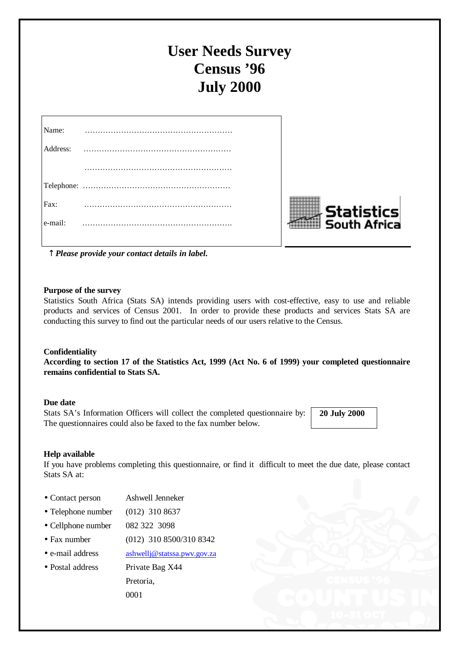# **User Needs Survey Census '96 July 2000**

| Name:    |  |
|----------|--|
| Address: |  |
|          |  |
|          |  |
| Fax:     |  |
| e-mail:  |  |
|          |  |



**-** *Please provide your contact details in label.*

#### **Purpose of the survey**

Statistics South Africa (Stats SA) intends providing users with cost-effective, easy to use and reliable products and services of Census 2001. In order to provide these products and services Stats SA are conducting this survey to find out the particular needs of our users relative to the Census.

#### **Confidentiality**

**According to section 17 of the Statistics Act, 1999 (Act No. 6 of 1999) your completed questionnaire remains confidential to Stats SA.**

#### **Due date**

Stats SA's Information Officers will collect the completed questionnaire by: The questionnaires could also be faxed to the fax number below.

 **20 July 2000**

#### **Help available**

If you have problems completing this questionnaire, or find it difficult to meet the due date, please contact Stats SA at:

- •Contact person Ashwell Jenneker
- Telephone number (012) 310 8637
- Cellphone number 082 322 3098
- Fax number (012) 310 8500/310 8342
- e-mail address ashwellj@statssa.pwv.gov.za
- Postal address Private Bag X44

Pretoria, 0001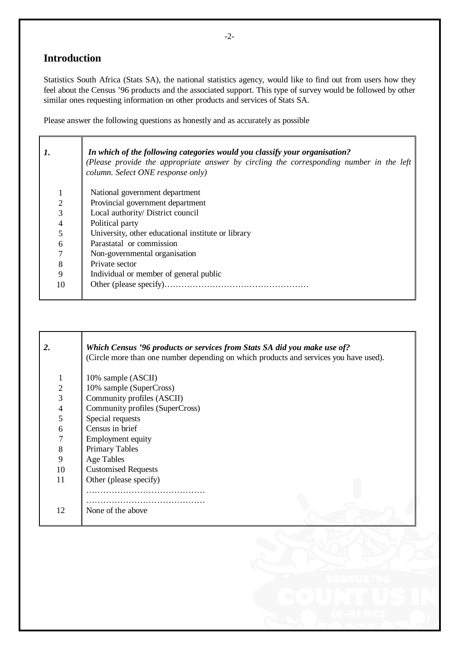### **Introduction**

Statistics South Africa (Stats SA), the national statistics agency, would like to find out from users how they feel about the Census '96 products and the associated support. This type of survey would be followed by other similar ones requesting information on other products and services of Stats SA.

Please answer the following questions as honestly and as accurately as possible

| 1.             | In which of the following categories would you classify your organisation?<br>(Please provide the appropriate answer by circling the corresponding number in the left<br>column. Select ONE response only) |
|----------------|------------------------------------------------------------------------------------------------------------------------------------------------------------------------------------------------------------|
|                | National government department                                                                                                                                                                             |
| $\overline{2}$ | Provincial government department                                                                                                                                                                           |
| 3              | Local authority/ District council                                                                                                                                                                          |
| $\overline{4}$ | Political party                                                                                                                                                                                            |
|                | University, other educational institute or library                                                                                                                                                         |
| 6              | Parastatal or commission                                                                                                                                                                                   |
|                | Non-governmental organisation                                                                                                                                                                              |
| 8              | Private sector                                                                                                                                                                                             |
| 9              | Individual or member of general public                                                                                                                                                                     |
| 10             |                                                                                                                                                                                                            |

| 2.                       | Which Census '96 products or services from Stats SA did you make use of?<br>(Circle more than one number depending on which products and services you have used). |
|--------------------------|-------------------------------------------------------------------------------------------------------------------------------------------------------------------|
| 1                        | 10% sample (ASCII)                                                                                                                                                |
| $\mathbf{2}$             | 10% sample (SuperCross)                                                                                                                                           |
| 3                        | Community profiles (ASCII)                                                                                                                                        |
| $\overline{\mathcal{A}}$ | Community profiles (SuperCross)                                                                                                                                   |
| 5                        | Special requests                                                                                                                                                  |
| 6                        | Census in brief                                                                                                                                                   |
| 7                        | Employment equity                                                                                                                                                 |
| 8                        | <b>Primary Tables</b>                                                                                                                                             |
| 9                        | <b>Age Tables</b>                                                                                                                                                 |
| 10                       | <b>Customised Requests</b>                                                                                                                                        |
| 11                       | Other (please specify)                                                                                                                                            |
|                          |                                                                                                                                                                   |
| 12                       | None of the above                                                                                                                                                 |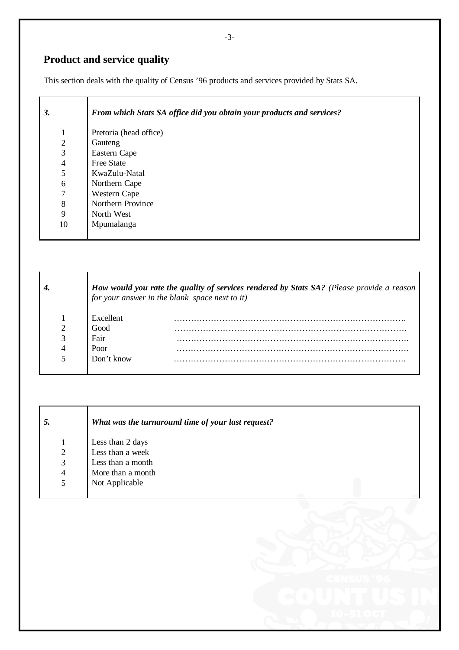## **Product and service quality**

This section deals with the quality of Census '96 products and services provided by Stats SA.

| 3.             | From which Stats SA office did you obtain your products and services? |
|----------------|-----------------------------------------------------------------------|
| $\mathbf{1}$   | Pretoria (head office)                                                |
| $\mathfrak{2}$ | Gauteng                                                               |
| 3              | Eastern Cape                                                          |
| $\overline{4}$ | <b>Free State</b>                                                     |
| 5              | KwaZulu-Natal                                                         |
| 6              | Northern Cape                                                         |
| 7              | Western Cape                                                          |
| 8              | Northern Province                                                     |
| 9              | North West                                                            |
| 10             | Mpumalanga                                                            |
|                |                                                                       |

|   | <b>How would you rate the quality of services rendered by Stats SA?</b> (Please provide a reason for your answer in the blank space next to it) |
|---|-------------------------------------------------------------------------------------------------------------------------------------------------|
|   | Excellent                                                                                                                                       |
| 2 | Good                                                                                                                                            |
|   | Fair                                                                                                                                            |
| 4 | Poor                                                                                                                                            |
|   | Don't know                                                                                                                                      |

| 5. | What was the turnaround time of your last request? |
|----|----------------------------------------------------|
|    | Less than 2 days                                   |
| 2  | Less than a week                                   |
| 3  | Less than a month                                  |
| 4  | More than a month                                  |
| 5  | Not Applicable                                     |
|    |                                                    |



-3-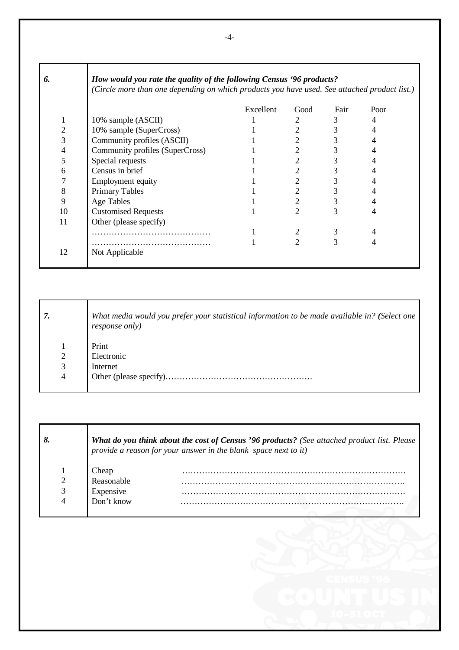| 6.             | How would you rate the quality of the following Census '96 products?<br>(Circle more than one depending on which products you have used. See attached product list.) |           |                |      |      |
|----------------|----------------------------------------------------------------------------------------------------------------------------------------------------------------------|-----------|----------------|------|------|
|                |                                                                                                                                                                      | Excellent | Good           | Fair | Poor |
|                | 10% sample (ASCII)                                                                                                                                                   |           | 2              | 3    | 4    |
| $\mathbf{2}$   | 10% sample (SuperCross)                                                                                                                                              |           |                | 3    |      |
| 3              | Community profiles (ASCII)                                                                                                                                           |           |                |      |      |
| $\overline{4}$ | Community profiles (SuperCross)                                                                                                                                      |           |                | 3    |      |
| 5              | Special requests                                                                                                                                                     |           | 2              | 3    |      |
| 6              | Census in brief                                                                                                                                                      |           | 2              | 3    |      |
| 7              | <b>Employment equity</b>                                                                                                                                             |           | 2              | 3    |      |
| 8              | <b>Primary Tables</b>                                                                                                                                                |           | 2              | 3    |      |
| 9              | Age Tables                                                                                                                                                           |           | 2              | 3    |      |
| 10             | <b>Customised Requests</b>                                                                                                                                           |           | $\mathfrak{D}$ | 3    |      |
| 11             | Other (please specify)                                                                                                                                               |           |                |      |      |
|                |                                                                                                                                                                      |           |                | 3    |      |
|                |                                                                                                                                                                      |           | 2              | 3    |      |
| 12             | Not Applicable                                                                                                                                                       |           |                |      |      |

| 7.             | What media would you prefer your statistical information to be made available in? (Select one<br><i>response only</i> ) |
|----------------|-------------------------------------------------------------------------------------------------------------------------|
|                | Print                                                                                                                   |
| $\overline{2}$ | Electronic                                                                                                              |
| 3              | Internet                                                                                                                |
| $\overline{4}$ | Other (please specify)                                                                                                  |
|                |                                                                                                                         |

|            | <b>What do you think about the cost of Census '96 products?</b> (See attached product list. Please $\ $<br>provide a reason for your answer in the blank space next to it) |
|------------|----------------------------------------------------------------------------------------------------------------------------------------------------------------------------|
| Cheap      |                                                                                                                                                                            |
| Reasonable |                                                                                                                                                                            |
| Expensive  |                                                                                                                                                                            |
| Don't know |                                                                                                                                                                            |